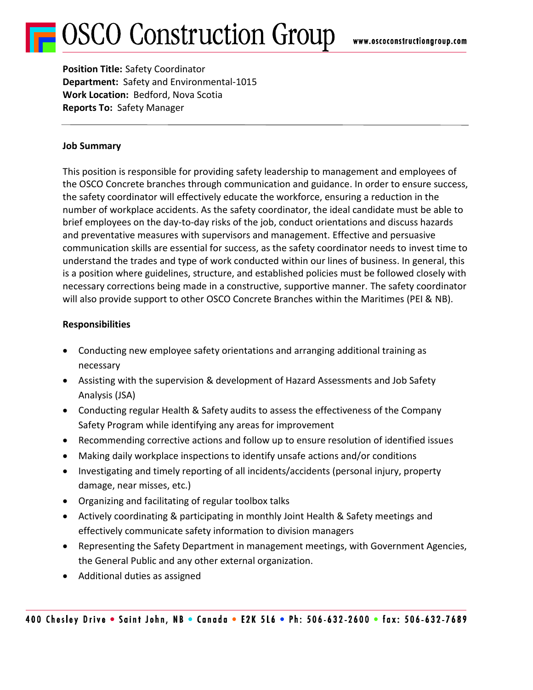# **OSCO Construction Group**

**Position Title:** Safety Coordinator **Department:** Safety and Environmental-1015 **Work Location:** Bedford, Nova Scotia **Reports To:** Safety Manager

### **Job Summary**

This position is responsible for providing safety leadership to management and employees of the OSCO Concrete branches through communication and guidance. In order to ensure success, the safety coordinator will effectively educate the workforce, ensuring a reduction in the number of workplace accidents. As the safety coordinator, the ideal candidate must be able to brief employees on the day-to-day risks of the job, conduct orientations and discuss hazards and preventative measures with supervisors and management. Effective and persuasive communication skills are essential for success, as the safety coordinator needs to invest time to understand the trades and type of work conducted within our lines of business. In general, this is a position where guidelines, structure, and established policies must be followed closely with necessary corrections being made in a constructive, supportive manner. The safety coordinator will also provide support to other OSCO Concrete Branches within the Maritimes (PEI & NB).

## **Responsibilities**

- Conducting new employee safety orientations and arranging additional training as necessary
- Assisting with the supervision & development of Hazard Assessments and Job Safety Analysis (JSA)
- Conducting regular Health & Safety audits to assess the effectiveness of the Company Safety Program while identifying any areas for improvement
- Recommending corrective actions and follow up to ensure resolution of identified issues
- Making daily workplace inspections to identify unsafe actions and/or conditions
- Investigating and timely reporting of all incidents/accidents (personal injury, property damage, near misses, etc.)
- Organizing and facilitating of regular toolbox talks
- Actively coordinating & participating in monthly Joint Health & Safety meetings and effectively communicate safety information to division managers
- Representing the Safety Department in management meetings, with Government Agencies, the General Public and any other external organization.
- Additional duties as assigned